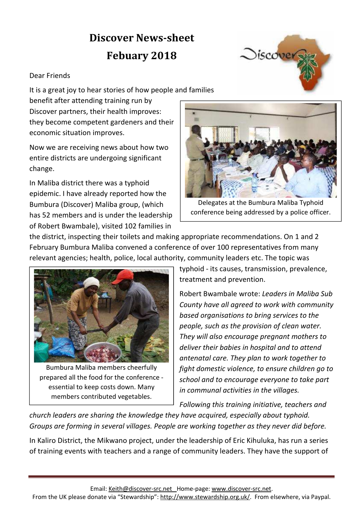## **Discover News-sheet Febuary 2018**

## Dear Friends

It is a great joy to hear stories of how people and families

benefit after attending training run by Discover partners, their health improves: they become competent gardeners and their economic situation improves.

Now we are receiving news about how two entire districts are undergoing significant change.

In Maliba district there was a typhoid epidemic. I have already reported how the Bumbura (Discover) Maliba group, (which has 52 members and is under the leadership of Robert Bwambale), visited 102 families in



 $\bigcirc$ iscover

Delegates at the Bumbura Maliba Typhoid conference being addressed by a police officer.

the district, inspecting their toilets and making appropriate recommendations. On 1 and 2 February Bumbura Maliba convened a conference of over 100 representatives from many relevant agencies; health, police, local authority, community leaders etc. The topic was



Bumbura Maliba members cheerfully prepared all the food for the conference essential to keep costs down. Many members contributed vegetables.

typhoid - its causes, transmission, prevalence, treatment and prevention.

Robert Bwambale wrote: *Leaders in Maliba Sub County have all agreed to work with community based organisations to bring services to the people, such as the provision of clean water. They will also encourage pregnant mothers to deliver their babies in hospital and to attend antenatal care. They plan to work together to fight domestic violence, to ensure children go to school and to encourage everyone to take part in communal activities in the villages.*

*Following this training initiative, teachers and* 

*church leaders are sharing the knowledge they have acquired, especially about typhoid. Groups are forming in several villages. People are working together as they never did before.*

In Kaliro District, the Mikwano project, under the leadership of Eric Kihuluka, has run a series of training events with teachers and a range of community leaders. They have the support of

Email: Keith@discover-src.net Home-page: www.discover-src.net.

From the UK please donate via "Stewardship": http://www.stewardship.org.uk/. From elsewhere, via Paypal.